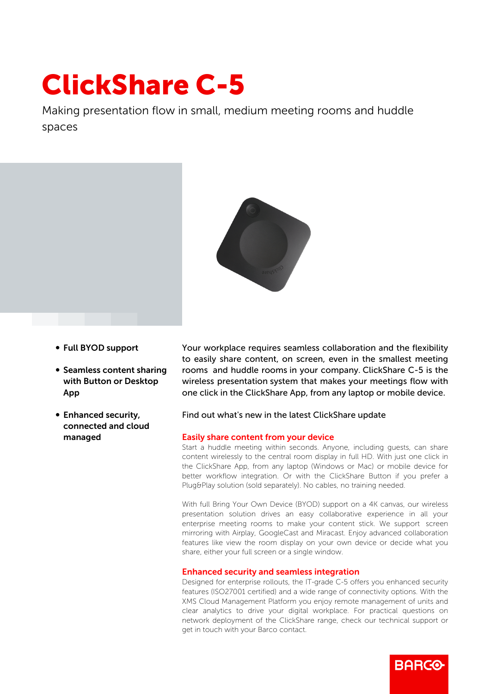# ClickShare C-5

Making presentation flow in small, medium meeting rooms and huddle spaces



- b Full BYOD support
- Seamless content sharing with Button or Desktop App
- Enhanced security, connected and cloud managed

Your workplace requires seamless collaboration and the flexibility to easily share content, on screen, even in the smallest meeting rooms and huddle rooms in your company. ClickShare C-5 is the wireless presentation system that makes your meetings flow with one click in the ClickShare App, from any laptop or mobile device.

# Find out what's new in the latest ClickShare update

#### Easily share content from your device

Start a huddle meeting within seconds. Anyone, including guests, can share content wirelessly to the central room display in full HD. With just one click in the ClickShare App, from any laptop (Windows or Mac) or mobile device for better workflow integration. Or with the ClickShare Button if you prefer a Plug&Play solution (sold separately). No cables, no training needed.

With full Bring Your Own Device (BYOD) support on a 4K canvas, our wireless presentation solution drives an easy collaborative experience in all your enterprise meeting rooms to make your content stick. We support screen mirroring with Airplay, GoogleCast and Miracast. Enjoy advanced collaboration features like view the room display on your own device or decide what you share, either your full screen or a single window.

#### Enhanced security and seamless integration

Designed for enterprise rollouts, the IT-grade C-5 offers you enhanced security features (ISO27001 certified) and a wide range of connectivity options. With the XMS Cloud Management Platform you enjoy remote management of units and clear analytics to drive your digital workplace. For practical questions on network deployment of the ClickShare range, check our technical support or get in touch with your Barco contact.

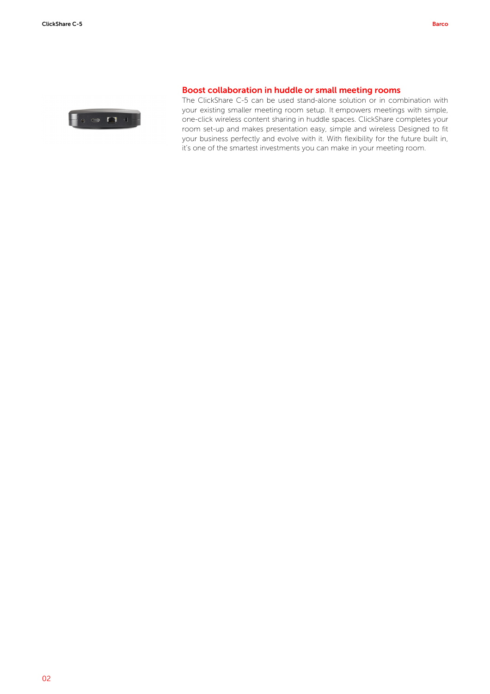

## Boost collaboration in huddle or small meeting rooms

The ClickShare C-5 can be used stand-alone solution or in combination with your existing smaller meeting room setup. It empowers meetings with simple, one-click wireless content sharing in huddle spaces. ClickShare completes your room set-up and makes presentation easy, simple and wireless Designed to fit your business perfectly and evolve with it. With flexibility for the future built in, it's one of the smartest investments you can make in your meeting room.